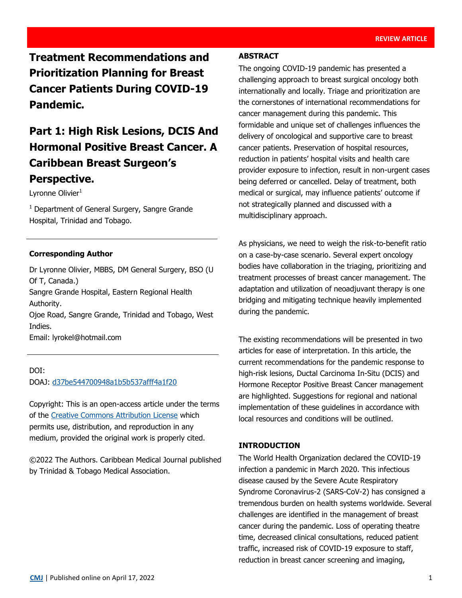**Treatment Recommendations and Prioritization Planning for Breast Cancer Patients During COVID-19 Pandemic.**

# **Part 1: High Risk Lesions, DCIS And Hormonal Positive Breast Cancer. A Caribbean Breast Surgeon's Perspective.**

Lyronne Olivier<sup>1</sup>

 $1$  Department of General Surgery, Sangre Grande Hospital, Trinidad and Tobago.

### **Corresponding Author**

Dr Lyronne Olivier, MBBS, DM General Surgery, BSO (U Of T, Canada.) Sangre Grande Hospital, Eastern Regional Health Authority. Ojoe Road, Sangre Grande, Trinidad and Tobago, West Indies. Email: lyrokel@hotmail.com

DOI: DOAJ: [d37be544700948a1b5b537afff4a1f20](https://doaj.org/article/d37be544700948a1b5b537afff4a1f20)

Copyright: This is an open-access article under the terms of the [Creative Commons Attribution License](https://creativecommons.org/licenses/by/4.0/) which permits use, distribution, and reproduction in any medium, provided the original work is properly cited.

©2022 The Authors. Caribbean Medical Journal published by Trinidad & Tobago Medical Association.

## **ABSTRACT**

The ongoing COVID-19 pandemic has presented a challenging approach to breast surgical oncology both internationally and locally. Triage and prioritization are the cornerstones of international recommendations for cancer management during this pandemic. This formidable and unique set of challenges influences the delivery of oncological and supportive care to breast cancer patients. Preservation of hospital resources, reduction in patients' hospital visits and health care provider exposure to infection, result in non-urgent cases being deferred or cancelled. Delay of treatment, both medical or surgical, may influence patients' outcome if not strategically planned and discussed with a multidisciplinary approach.

As physicians, we need to weigh the risk-to-benefit ratio on a case-by-case scenario. Several expert oncology bodies have collaboration in the triaging, prioritizing and treatment processes of breast cancer management. The adaptation and utilization of neoadjuvant therapy is one bridging and mitigating technique heavily implemented during the pandemic.

The existing recommendations will be presented in two articles for ease of interpretation. In this article, the current recommendations for the pandemic response to high-risk lesions, Ductal Carcinoma In-Situ (DCIS) and Hormone Receptor Positive Breast Cancer management are highlighted. Suggestions for regional and national implementation of these guidelines in accordance with local resources and conditions will be outlined.

# **INTRODUCTION**

The World Health Organization declared the COVID-19 infection a pandemic in March 2020. This infectious disease caused by the Severe Acute Respiratory Syndrome Coronavirus-2 (SARS-CoV-2) has consigned a tremendous burden on health systems worldwide. Several challenges are identified in the management of breast cancer during the pandemic. Loss of operating theatre time, decreased clinical consultations, reduced patient traffic, increased risk of COVID-19 exposure to staff, reduction in breast cancer screening and imaging,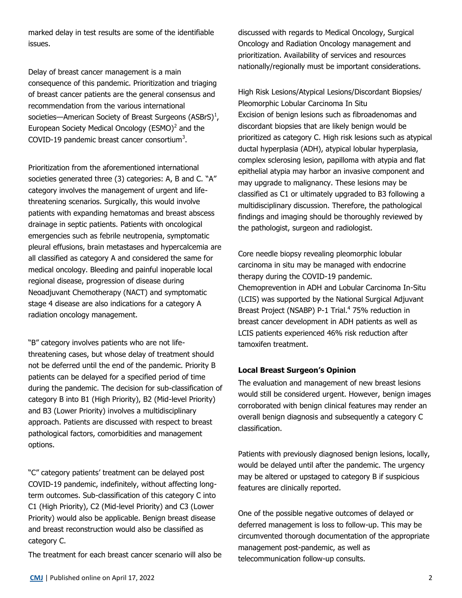marked delay in test results are some of the identifiable issues.

Delay of breast cancer management is a main consequence of this pandemic. Prioritization and triaging of breast cancer patients are the general consensus and recommendation from the various international societies—American Society of Breast Surgeons (ASBrS) $^1$ , European Society Medical Oncology (ESMO) $<sup>2</sup>$  and the</sup> COVID-19 pandemic breast cancer consortium<sup>3</sup>.

Prioritization from the aforementioned international societies generated three (3) categories: A, B and C. "A" category involves the management of urgent and lifethreatening scenarios. Surgically, this would involve patients with expanding hematomas and breast abscess drainage in septic patients. Patients with oncological emergencies such as febrile neutropenia, symptomatic pleural effusions, brain metastases and hypercalcemia are all classified as category A and considered the same for medical oncology. Bleeding and painful inoperable local regional disease, progression of disease during Neoadjuvant Chemotherapy (NACT) and symptomatic stage 4 disease are also indications for a category A radiation oncology management.

"B" category involves patients who are not lifethreatening cases, but whose delay of treatment should not be deferred until the end of the pandemic. Priority B patients can be delayed for a specified period of time during the pandemic. The decision for sub-classification of category B into B1 (High Priority), B2 (Mid-level Priority) and B3 (Lower Priority) involves a multidisciplinary approach. Patients are discussed with respect to breast pathological factors, comorbidities and management options.

"C" category patients' treatment can be delayed post COVID-19 pandemic, indefinitely, without affecting longterm outcomes. Sub-classification of this category C into C1 (High Priority), C2 (Mid-level Priority) and C3 (Lower Priority) would also be applicable. Benign breast disease and breast reconstruction would also be classified as category C.

The treatment for each breast cancer scenario will also be

discussed with regards to Medical Oncology, Surgical Oncology and Radiation Oncology management and prioritization. Availability of services and resources nationally/regionally must be important considerations.

High Risk Lesions/Atypical Lesions/Discordant Biopsies/ Pleomorphic Lobular Carcinoma In Situ Excision of benign lesions such as fibroadenomas and discordant biopsies that are likely benign would be prioritized as category C. High risk lesions such as atypical ductal hyperplasia (ADH), atypical lobular hyperplasia, complex sclerosing lesion, papilloma with atypia and flat epithelial atypia may harbor an invasive component and may upgrade to malignancy. These lesions may be classified as C1 or ultimately upgraded to B3 following a multidisciplinary discussion. Therefore, the pathological findings and imaging should be thoroughly reviewed by the pathologist, surgeon and radiologist.

Core needle biopsy revealing pleomorphic lobular carcinoma in situ may be managed with endocrine therapy during the COVID-19 pandemic. Chemoprevention in ADH and Lobular Carcinoma In-Situ (LCIS) was supported by the National Surgical Adjuvant Breast Project (NSABP) P-1 Trial.<sup>4</sup> 75% reduction in breast cancer development in ADH patients as well as LCIS patients experienced 46% risk reduction after tamoxifen treatment.

## **Local Breast Surgeon's Opinion**

The evaluation and management of new breast lesions would still be considered urgent. However, benign images corroborated with benign clinical features may render an overall benign diagnosis and subsequently a category C classification.

Patients with previously diagnosed benign lesions, locally, would be delayed until after the pandemic. The urgency may be altered or upstaged to category B if suspicious features are clinically reported.

One of the possible negative outcomes of delayed or deferred management is loss to follow-up. This may be circumvented thorough documentation of the appropriate management post-pandemic, as well as telecommunication follow-up consults.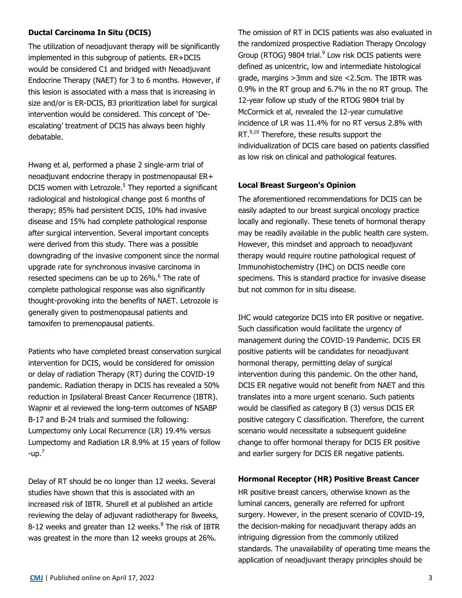# **Ductal Carcinoma In Situ (DCIS)**

The utilization of neoadjuvant therapy will be significantly implemented in this subgroup of patients. ER+DCIS would be considered C1 and bridged with Neoadjuvant Endocrine Therapy (NAET) for 3 to 6 months. However, if this lesion is associated with a mass that is increasing in size and/or is ER-DCIS, B3 prioritization label for surgical intervention would be considered. This concept of 'Deescalating' treatment of DCIS has always been highly debatable.

Hwang et al, performed a phase 2 single-arm trial of neoadjuvant endocrine therapy in postmenopausal ER+ DCIS women with Letrozole.<sup>5</sup> They reported a significant radiological and histological change post 6 months of therapy; 85% had persistent DCIS, 10% had invasive disease and 15% had complete pathological response after surgical intervention. Several important concepts were derived from this study. There was a possible downgrading of the invasive component since the normal upgrade rate for synchronous invasive carcinoma in resected specimens can be up to 26%.<sup>6</sup> The rate of complete pathological response was also significantly thought-provoking into the benefits of NAET. Letrozole is generally given to postmenopausal patients and tamoxifen to premenopausal patients.

Patients who have completed breast conservation surgical intervention for DCIS, would be considered for omission or delay of radiation Therapy (RT) during the COVID-19 pandemic. Radiation therapy in DCIS has revealed a 50% reduction in Ipsilateral Breast Cancer Recurrence (IBTR). Wapnir et al reviewed the long-term outcomes of NSABP B-17 and B-24 trials and surmised the following: Lumpectomy only Local Recurrence (LR) 19.4% versus Lumpectomy and Radiation LR 8.9% at 15 years of follow -up. $<sup>7</sup>$ </sup>

Delay of RT should be no longer than 12 weeks. Several studies have shown that this is associated with an increased risk of IBTR. Shurell et al published an article reviewing the delay of adjuvant radiotherapy for 8weeks, 8-12 weeks and greater than 12 weeks. <sup>8</sup> The risk of IBTR was greatest in the more than 12 weeks groups at 26%.

The omission of RT in DCIS patients was also evaluated in the randomized prospective Radiation Therapy Oncology Group (RTOG) 9804 trial.<sup>9</sup> Low risk DCIS patients were defined as unicentric, low and intermediate histological grade, margins >3mm and size <2.5cm. The IBTR was 0.9% in the RT group and 6.7% in the no RT group. The 12-year follow up study of the RTOG 9804 trial by McCormick et al, revealed the 12-year cumulative incidence of LR was 11.4% for no RT versus 2.8% with RT.<sup>9,10</sup> Therefore, these results support the individualization of DCIS care based on patients classified as low risk on clinical and pathological features.

## **Local Breast Surgeon's Opinion**

The aforementioned recommendations for DCIS can be easily adapted to our breast surgical oncology practice locally and regionally. These tenets of hormonal therapy may be readily available in the public health care system. However, this mindset and approach to neoadjuvant therapy would require routine pathological request of Immunohistochemistry (IHC) on DCIS needle core specimens. This is standard practice for invasive disease but not common for in situ disease.

IHC would categorize DCIS into ER positive or negative. Such classification would facilitate the urgency of management during the COVID-19 Pandemic. DCIS ER positive patients will be candidates for neoadjuvant hormonal therapy, permitting delay of surgical intervention during this pandemic. On the other hand, DCIS ER negative would not benefit from NAET and this translates into a more urgent scenario. Such patients would be classified as category B (3) versus DCIS ER positive category C classification. Therefore, the current scenario would necessitate a subsequent guideline change to offer hormonal therapy for DCIS ER positive and earlier surgery for DCIS ER negative patients.

## **Hormonal Receptor (HR) Positive Breast Cancer**

HR positive breast cancers, otherwise known as the luminal cancers, generally are referred for upfront surgery. However, in the present scenario of COVID-19, the decision-making for neoadjuvant therapy adds an intriguing digression from the commonly utilized standards. The unavailability of operating time means the application of neoadjuvant therapy principles should be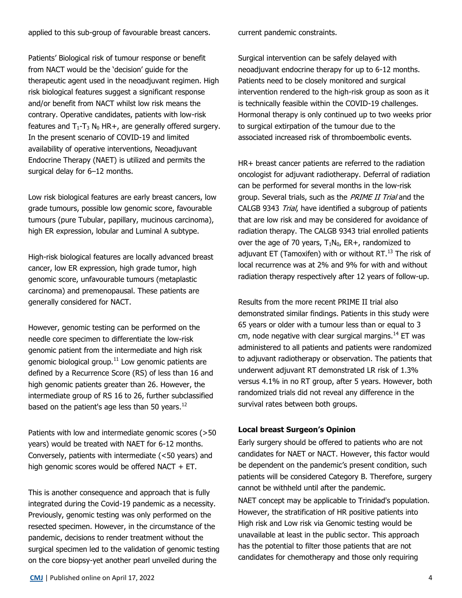applied to this sub-group of favourable breast cancers.

Patients' Biological risk of tumour response or benefit from NACT would be the 'decision' guide for the therapeutic agent used in the neoadjuvant regimen. High risk biological features suggest a significant response and/or benefit from NACT whilst low risk means the contrary. Operative candidates, patients with low-risk features and  $T_1 - T_3 N_0 H R +$ , are generally offered surgery. In the present scenario of COVID-19 and limited availability of operative interventions, Neoadjuvant Endocrine Therapy (NAET) is utilized and permits the surgical delay for 6–12 months.

Low risk biological features are early breast cancers, low grade tumours, possible low genomic score, favourable tumours (pure Tubular, papillary, mucinous carcinoma), high ER expression, lobular and Luminal A subtype.

High-risk biological features are locally advanced breast cancer, low ER expression, high grade tumor, high genomic score, unfavourable tumours (metaplastic carcinoma) and premenopausal. These patients are generally considered for NACT.

However, genomic testing can be performed on the needle core specimen to differentiate the low-risk genomic patient from the intermediate and high risk genomic biological group. $11$  Low genomic patients are defined by a Recurrence Score (RS) of less than 16 and high genomic patients greater than 26. However, the intermediate group of RS 16 to 26, further subclassified based on the patient's age less than 50 years.<sup>12</sup>

Patients with low and intermediate genomic scores (>50 years) would be treated with NAET for 6-12 months. Conversely, patients with intermediate (<50 years) and high genomic scores would be offered NACT  $+$  ET.

This is another consequence and approach that is fully integrated during the Covid-19 pandemic as a necessity. Previously, genomic testing was only performed on the resected specimen. However, in the circumstance of the pandemic, decisions to render treatment without the surgical specimen led to the validation of genomic testing on the core biopsy-yet another pearl unveiled during the

current pandemic constraints.

Surgical intervention can be safely delayed with neoadjuvant endocrine therapy for up to 6-12 months. Patients need to be closely monitored and surgical intervention rendered to the high-risk group as soon as it is technically feasible within the COVID-19 challenges. Hormonal therapy is only continued up to two weeks prior to surgical extirpation of the tumour due to the associated increased risk of thromboembolic events.

HR+ breast cancer patients are referred to the radiation oncologist for adjuvant radiotherapy. Deferral of radiation can be performed for several months in the low-risk group. Several trials, such as the *PRIME II Trial* and the CALGB 9343 Trial, have identified a subgroup of patients that are low risk and may be considered for avoidance of radiation therapy. The CALGB 9343 trial enrolled patients over the age of 70 years,  $T_1N_0$ , ER+, randomized to adjuvant ET (Tamoxifen) with or without RT. $^{13}$  The risk of local recurrence was at 2% and 9% for with and without radiation therapy respectively after 12 years of follow-up.

Results from the more recent PRIME II trial also demonstrated similar findings. Patients in this study were 65 years or older with a tumour less than or equal to 3 cm, node negative with clear surgical margins. $^{14}$  ET was administered to all patients and patients were randomized to adjuvant radiotherapy or observation. The patients that underwent adjuvant RT demonstrated LR risk of 1.3% versus 4.1% in no RT group, after 5 years. However, both randomized trials did not reveal any difference in the survival rates between both groups.

## **Local breast Surgeon's Opinion**

Early surgery should be offered to patients who are not candidates for NAET or NACT. However, this factor would be dependent on the pandemic's present condition, such patients will be considered Category B. Therefore, surgery cannot be withheld until after the pandemic.

NAET concept may be applicable to Trinidad's population. However, the stratification of HR positive patients into High risk and Low risk via Genomic testing would be unavailable at least in the public sector. This approach has the potential to filter those patients that are not candidates for chemotherapy and those only requiring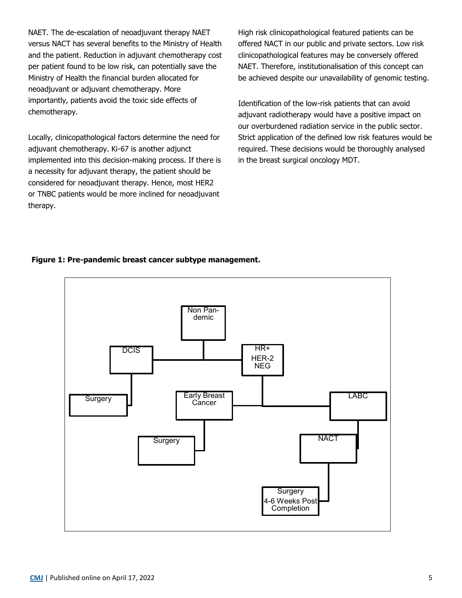NAET. The de-escalation of neoadjuvant therapy NAET versus NACT has several benefits to the Ministry of Health and the patient. Reduction in adjuvant chemotherapy cost per patient found to be low risk, can potentially save the Ministry of Health the financial burden allocated for neoadjuvant or adjuvant chemotherapy. More importantly, patients avoid the toxic side effects of chemotherapy.

Locally, clinicopathological factors determine the need for adjuvant chemotherapy. Ki-67 is another adjunct implemented into this decision-making process. If there is a necessity for adjuvant therapy, the patient should be considered for neoadjuvant therapy. Hence, most HER2 or TNBC patients would be more inclined for neoadjuvant therapy.

High risk clinicopathological featured patients can be offered NACT in our public and private sectors. Low risk clinicopathological features may be conversely offered NAET. Therefore, institutionalisation of this concept can be achieved despite our unavailability of genomic testing.

Identification of the low-risk patients that can avoid adjuvant radiotherapy would have a positive impact on our overburdened radiation service in the public sector. Strict application of the defined low risk features would be required. These decisions would be thoroughly analysed in the breast surgical oncology MDT.

## **Figure 1: Pre-pandemic breast cancer subtype management.**

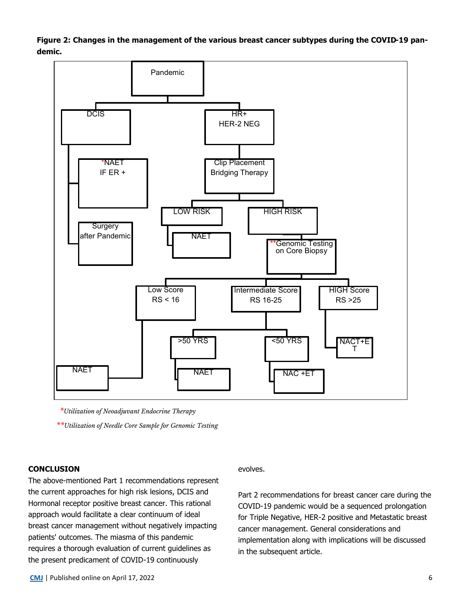**Figure 2: Changes in the management of the various breast cancer subtypes during the COVID-19 pandemic.**



*\*Utilization of Neoadjuvant Endocrine Therapy \*\*Utilization of Needle Core Sample for Genomic Testing*

### **CONCLUSION**

The above-mentioned Part 1 recommendations represent the current approaches for high risk lesions, DCIS and Hormonal receptor positive breast cancer. This rational approach would facilitate a clear continuum of ideal breast cancer management without negatively impacting patients' outcomes. The miasma of this pandemic requires a thorough evaluation of current guidelines as the present predicament of COVID-19 continuously

### evolves.

Part 2 recommendations for breast cancer care during the COVID-19 pandemic would be a sequenced prolongation for Triple Negative, HER-2 positive and Metastatic breast cancer management. General considerations and implementation along with implications will be discussed in the subsequent article.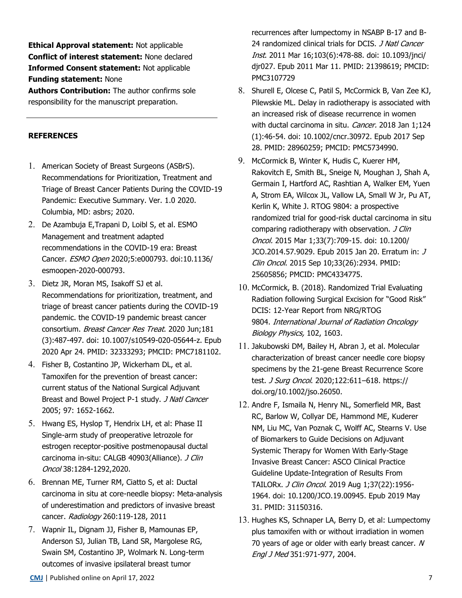**Ethical Approval statement:** Not applicable **Conflict of interest statement:** None declared **Informed Consent statement:** Not applicable **Funding statement:** None

**Authors Contribution:** The author confirms sole responsibility for the manuscript preparation.

# **REFERENCES**

- 1. American Society of Breast Surgeons (ASBrS). Recommendations for Prioritization, Treatment and Triage of Breast Cancer Patients During the COVID-19 Pandemic: Executive Summary. Ver. 1.0 2020. Columbia, MD: asbrs; 2020.
- 2. De Azambuja E,Trapani D, Loibl S, et al. ESMO Management and treatment adapted recommendations in the COVID-19 era: Breast Cancer. ESMO Open 2020;5:e000793. doi:10.1136/ esmoopen-2020-000793.
- 3. Dietz JR, Moran MS, Isakoff SJ et al. Recommendations for prioritization, treatment, and triage of breast cancer patients during the COVID-19 pandemic. the COVID-19 pandemic breast cancer consortium. Breast Cancer Res Treat. 2020 Jun;181 (3):487-497. doi: 10.1007/s10549-020-05644-z. Epub 2020 Apr 24. PMID: 32333293; PMCID: PMC7181102.
- 4. Fisher B, Costantino JP, Wickerham DL, et al. Tamoxifen for the prevention of breast cancer: current status of the National Surgical Adjuvant Breast and Bowel Project P-1 study. J Natl Cancer 2005; 97: 1652-1662.
- 5. Hwang ES, Hyslop T, Hendrix LH, et al: Phase II Single-arm study of preoperative letrozole for estrogen receptor-positive postmenopausal ductal carcinoma in-situ: CALGB 40903(Alliance). J Clin Oncol 38:1284-1292,2020.
- 6. Brennan ME, Turner RM, Ciatto S, et al: Ductal carcinoma in situ at core-needle biopsy: Meta-analysis of underestimation and predictors of invasive breast cancer. Radiology 260:119-128, 2011
- 7. Wapnir IL, Dignam JJ, Fisher B, Mamounas EP, Anderson SJ, Julian TB, Land SR, Margolese RG, Swain SM, Costantino JP, Wolmark N. Long-term outcomes of invasive ipsilateral breast tumor

recurrences after lumpectomy in NSABP B-17 and B-24 randomized clinical trials for DCIS. *J Natl Cancer* Inst. 2011 Mar 16;103(6):478-88. doi: 10.1093/jnci/ djr027. Epub 2011 Mar 11. PMID: 21398619; PMCID: PMC3107729

- 8. Shurell E, Olcese C, Patil S, McCormick B, Van Zee KJ, Pilewskie ML. Delay in radiotherapy is associated with an increased risk of disease recurrence in women with ductal carcinoma in situ. Cancer. 2018 Jan 1;124 (1):46-54. doi: 10.1002/cncr.30972. Epub 2017 Sep 28. PMID: 28960259; PMCID: PMC5734990.
- 9. McCormick B, Winter K, Hudis C, Kuerer HM, Rakovitch E, Smith BL, Sneige N, Moughan J, Shah A, Germain I, Hartford AC, Rashtian A, Walker EM, Yuen A, Strom EA, Wilcox JL, Vallow LA, Small W Jr, Pu AT, Kerlin K, White J. RTOG 9804: a prospective randomized trial for good-risk ductal carcinoma in situ comparing radiotherapy with observation. J Clin Oncol. 2015 Mar 1;33(7):709-15. doi: 10.1200/ JCO.2014.57.9029. Epub 2015 Jan 20. Erratum in: J Clin Oncol. 2015 Sep 10;33(26):2934. PMID: 25605856; PMCID: PMC4334775.
- 10. McCormick, B. (2018). Randomized Trial Evaluating Radiation following Surgical Excision for "Good Risk" DCIS: 12-Year Report from NRG/RTOG 9804. International Journal of Radiation Oncology Biology Physics, 102, 1603.
- 11. Jakubowski DM, Bailey H, Abran J, et al. Molecular characterization of breast cancer needle core biopsy specimens by the 21‐gene Breast Recurrence Score test. J Surg Oncol. 2020;122:611–618. https:// doi.org/10.1002/jso.26050.
- 12. Andre F, Ismaila N, Henry NL, Somerfield MR, Bast RC, Barlow W, Collyar DE, Hammond ME, Kuderer NM, Liu MC, Van Poznak C, Wolff AC, Stearns V. Use of Biomarkers to Guide Decisions on Adjuvant Systemic Therapy for Women With Early-Stage Invasive Breast Cancer: ASCO Clinical Practice Guideline Update-Integration of Results From TAILORx. J Clin Oncol. 2019 Aug 1;37(22):1956- 1964. doi: 10.1200/JCO.19.00945. Epub 2019 May 31. PMID: 31150316.
- 13. Hughes KS, Schnaper LA, Berry D, et al: Lumpectomy plus tamoxifen with or without irradiation in women 70 years of age or older with early breast cancer. N Engl J Med 351:971-977, 2004.